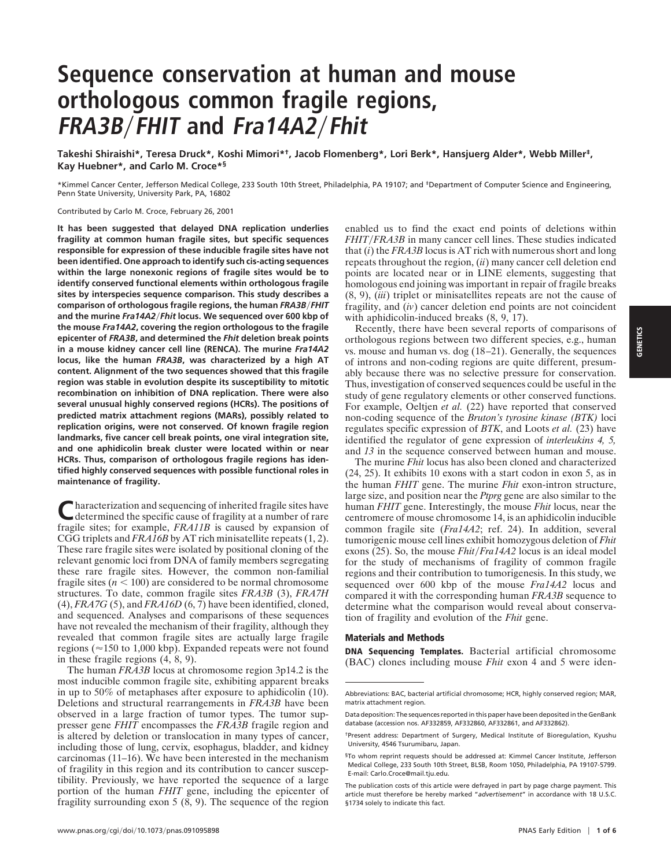# **Sequence conservation at human and mouse orthologous common fragile regions, FRA3B**y**FHIT and Fra14A2**y**Fhit**

**Takeshi Shiraishi\*, Teresa Druck\*, Koshi Mimori\*†, Jacob Flomenberg\*, Lori Berk\*, Hansjuerg Alder\*, Webb Miller‡, Kay Huebner\*, and Carlo M. Croce\*§**

\*Kimmel Cancer Center, Jefferson Medical College, 233 South 10th Street, Philadelphia, PA 19107; and ‡Department of Computer Science and Engineering, Penn State University, University Park, PA, 16802

Contributed by Carlo M. Croce, February 26, 2001

**It has been suggested that delayed DNA replication underlies fragility at common human fragile sites, but specific sequences responsible for expression of these inducible fragile sites have not been identified. One approach to identify such cis-acting sequences within the large nonexonic regions of fragile sites would be to identify conserved functional elements within orthologous fragile sites by interspecies sequence comparison. This study describes a comparison of orthologous fragile regions, the human** *FRA3B/FHIT* **and the murine** *Fra14A2*y*Fhit* **locus. We sequenced over 600 kbp of the mouse** *Fra14A2***, covering the region orthologous to the fragile epicenter of** *FRA3B***, and determined the** *Fhit* **deletion break points in a mouse kidney cancer cell line (RENCA). The murine** *Fra14A2* **locus, like the human** *FRA3B***, was characterized by a high AT content. Alignment of the two sequences showed that this fragile region was stable in evolution despite its susceptibility to mitotic recombination on inhibition of DNA replication. There were also several unusual highly conserved regions (HCRs). The positions of predicted matrix attachment regions (MARs), possibly related to replication origins, were not conserved. Of known fragile region landmarks, five cancer cell break points, one viral integration site, and one aphidicolin break cluster were located within or near HCRs. Thus, comparison of orthologous fragile regions has identified highly conserved sequences with possible functional roles in maintenance of fragility.**

Characterization and sequencing of inherited fragile sites have<br>determined the specific cause of fragility at a number of rare fragile sites; for example, *FRA11B* is caused by expansion of CGG triplets and *FRA16B* by AT rich minisatellite repeats (1, 2). These rare fragile sites were isolated by positional cloning of the relevant genomic loci from DNA of family members segregating these rare fragile sites. However, the common non-familial fragile sites  $(n < 100)$  are considered to be normal chromosome structures. To date, common fragile sites *FRA3B* (3), *FRA7H* (4), *FRA7G* (5), and *FRA16D* (6, 7) have been identified, cloned, and sequenced. Analyses and comparisons of these sequences have not revealed the mechanism of their fragility, although they revealed that common fragile sites are actually large fragile regions ( $\approx$ 150 to 1,000 kbp). Expanded repeats were not found in these fragile regions (4, 8, 9).

The human *FRA3B* locus at chromosome region 3p14.2 is the most inducible common fragile site, exhibiting apparent breaks in up to 50% of metaphases after exposure to aphidicolin (10). Deletions and structural rearrangements in *FRA3B* have been observed in a large fraction of tumor types. The tumor suppresser gene *FHIT* encompasses the *FRA3B* fragile region and is altered by deletion or translocation in many types of cancer, including those of lung, cervix, esophagus, bladder, and kidney carcinomas (11–16). We have been interested in the mechanism of fragility in this region and its contribution to cancer susceptibility. Previously, we have reported the sequence of a large portion of the human *FHIT* gene, including the epicenter of fragility surrounding exon 5  $(8, 9)$ . The sequence of the region enabled us to find the exact end points of deletions within *FHIT*/*FRA3B* in many cancer cell lines. These studies indicated that (*i*) the *FRA3B* locus is AT rich with numerous short and long repeats throughout the region, (*ii*) many cancer cell deletion end points are located near or in LINE elements, suggesting that homologous end joining was important in repair of fragile breaks (8, 9), (*iii*) triplet or minisatellites repeats are not the cause of fragility, and (*iv*) cancer deletion end points are not coincident with aphidicolin-induced breaks (8, 9, 17).

Recently, there have been several reports of comparisons of orthologous regions between two different species, e.g., human vs. mouse and human vs. dog (18–21). Generally, the sequences of introns and non-coding regions are quite different, presumably because there was no selective pressure for conservation. Thus, investigation of conserved sequences could be useful in the study of gene regulatory elements or other conserved functions. For example, Oeltjen *et al.* (22) have reported that conserved non-coding sequence of the *Bruton's tyrosine kinase (BTK)* loci regulates specific expression of *BTK*, and Loots *et al.* (23) have identified the regulator of gene expression of *interleukins 4, 5,* and *13* in the sequence conserved between human and mouse.

The murine *Fhit* locus has also been cloned and characterized (24, 25). It exhibits 10 exons with a start codon in exon 5, as in the human *FHIT* gene. The murine *Fhit* exon-intron structure, large size, and position near the *Ptprg* gene are also similar to the human *FHIT* gene. Interestingly, the mouse *Fhit* locus, near the centromere of mouse chromosome 14, is an aphidicolin inducible common fragile site (*Fra14A2*; ref. 24). In addition, several tumorigenic mouse cell lines exhibit homozygous deletion of *Fhit* exons (25). So, the mouse *Fhit/Fra14A2* locus is an ideal model for the study of mechanisms of fragility of common fragile regions and their contribution to tumorigenesis. In this study, we sequenced over 600 kbp of the mouse *Fra14A2* locus and compared it with the corresponding human *FRA3B* sequence to determine what the comparison would reveal about conservation of fragility and evolution of the *Fhit* gene.

#### **Materials and Methods**

**DNA Sequencing Templates.** Bacterial artificial chromosome (BAC) clones including mouse *Fhit* exon 4 and 5 were iden-

Abbreviations: BAC, bacterial artificial chromosome; HCR, highly conserved region; MAR, matrix attachment region.

Data deposition: The sequences reported in this paper have been deposited in the GenBank database (accession nos. AF332859, AF332860, AF332861, and AF332862).

<sup>†</sup>Present address: Department of Surgery, Medical Institute of Bioregulation, Kyushu University, 4546 Tsurumibaru, Japan.

<sup>§</sup>To whom reprint requests should be addressed at: Kimmel Cancer Institute, Jefferson Medical College, 233 South 10th Street, BLSB, Room 1050, Philadelphia, PA 19107-5799. E-mail: Carlo.Croce@mail.tju.edu.

The publication costs of this article were defrayed in part by page charge payment. This article must therefore be hereby marked "*advertisement*" in accordance with 18 U.S.C. §1734 solely to indicate this fact.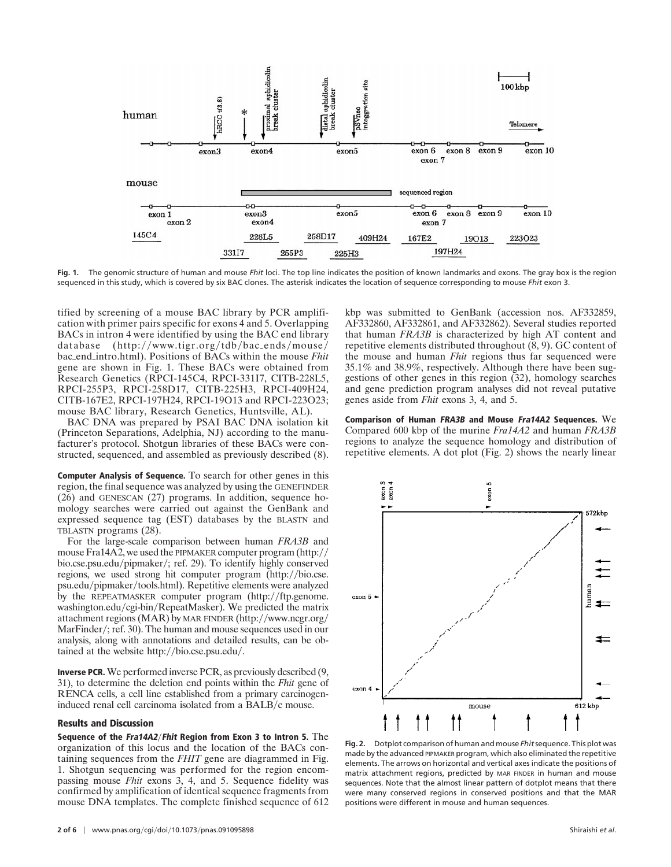

**Fig. 1.** The genomic structure of human and mouse *Fhit* loci. The top line indicates the position of known landmarks and exons. The gray box is the region sequenced in this study, which is covered by six BAC clones. The asterisk indicates the location of sequence corresponding to mouse *Fhit* exon 3.

tified by screening of a mouse BAC library by PCR amplification with primer pairs specific for exons 4 and 5. Overlapping BACs in intron 4 were identified by using the BAC end library database  $(http://www.tigr.org/tdb/bac-ends/mouse/$ bac\_end\_intro.html). Positions of BACs within the mouse *Fhit* gene are shown in Fig. 1. These BACs were obtained from Research Genetics (RPCI-145C4, RPCI-331I7, CITB-228L5, RPCI-255P3, RPCI-258D17, CITB-225H3, RPCI-409H24, CITB-167E2, RPCI-197H24, RPCI-19O13 and RPCI-223O23; mouse BAC library, Research Genetics, Huntsville, AL).

BAC DNA was prepared by PSAI BAC DNA isolation kit (Princeton Separations, Adelphia, NJ) according to the manufacturer's protocol. Shotgun libraries of these BACs were constructed, sequenced, and assembled as previously described (8).

**Computer Analysis of Sequence.** To search for other genes in this region, the final sequence was analyzed by using the GENEFINDER (26) and GENESCAN (27) programs. In addition, sequence homology searches were carried out against the GenBank and expressed sequence tag (EST) databases by the BLASTN and TBLASTN programs (28).

For the large-scale comparison between human *FRA3B* and mouse Fra14A2, we used the PIPMAKER computer program  $\frac{http://}{$ bio.cse.psu.edu/pipmaker/; ref. 29). To identify highly conserved regions, we used strong hit computer program (http://bio.cse. psu.edu/pipmaker/tools.html). Repetitive elements were analyzed by the REPEATMASKER computer program  $(\text{http://ftp.genome.})$ washington.edu/cgi-bin/RepeatMasker). We predicted the matrix attachment regions (MAR) by MAR FINDER (http://www.ncgr.org/ MarFinder/; ref. 30). The human and mouse sequences used in our analysis, along with annotations and detailed results, can be obtained at the website http://bio.cse.psu.edu/.

**Inverse PCR.** We performed inverse PCR, as previously described (9, 31), to determine the deletion end points within the *Fhit* gene of RENCA cells, a cell line established from a primary carcinogeninduced renal cell carcinoma isolated from a BALB/c mouse.

## **Results and Discussion**

**Sequence of the Fra14A2**y**Fhit Region from Exon 3 to Intron 5.** The organization of this locus and the location of the BACs containing sequences from the *FHIT* gene are diagrammed in Fig. 1. Shotgun sequencing was performed for the region encompassing mouse *Fhit* exons 3, 4, and 5. Sequence fidelity was confirmed by amplification of identical sequence fragments from mouse DNA templates. The complete finished sequence of 612

kbp was submitted to GenBank (accession nos. AF332859, AF332860, AF332861, and AF332862). Several studies reported that human *FRA3B* is characterized by high AT content and repetitive elements distributed throughout  $(8, 9)$ . GC content of the mouse and human *Fhit* regions thus far sequenced were 35.1% and 38.9%, respectively. Although there have been suggestions of other genes in this region (32), homology searches and gene prediction program analyses did not reveal putative genes aside from *Fhit* exons 3, 4, and 5.

**Comparison of Human FRA3B and Mouse Fra14A2 Sequences.** We Compared 600 kbp of the murine *Fra14A2* and human *FRA3B* regions to analyze the sequence homology and distribution of repetitive elements. A dot plot (Fig. 2) shows the nearly linear



**Fig. 2.** Dotplot comparison of human and mouse *Fhit*sequence. This plot was made by the advanced PIPMAKER program, which also eliminated the repetitive elements. The arrows on horizontal and vertical axes indicate the positions of matrix attachment regions, predicted by MAR FINDER in human and mouse sequences. Note that the almost linear pattern of dotplot means that there were many conserved regions in conserved positions and that the MAR positions were different in mouse and human sequences.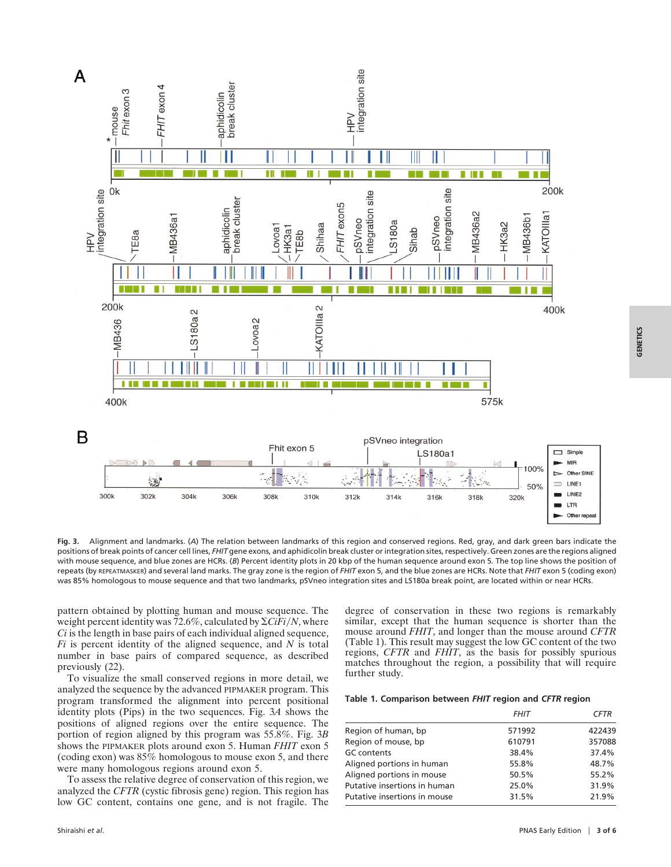

**Fig. 3.** Alignment and landmarks. (*A*) The relation between landmarks of this region and conserved regions. Red, gray, and dark green bars indicate the positions of break points of cancer cell lines, *FHIT* gene exons, and aphidicolin break cluster or integration sites, respectively. Green zones are the regions aligned with mouse sequence, and blue zones are HCRs. (*B*) Percent identity plots in 20 kbp of the human sequence around exon 5. The top line shows the position of repeats (by REPEATMASKER) and several land marks. The gray zone is the region of *FHIT* exon 5, and the blue zones are HCRs. Note that *FHIT* exon 5 (coding exon) was 85% homologous to mouse sequence and that two landmarks, pSVneo integration sites and LS180a break point, are located within or near HCRs.

pattern obtained by plotting human and mouse sequence. The weight percent identity was  $72.6\%$ , calculated by  $\Sigma CiFi/N$ , where *Ci* is the length in base pairs of each individual aligned sequence, *Fi* is percent identity of the aligned sequence, and *N* is total number in base pairs of compared sequence, as described previously (22).

To visualize the small conserved regions in more detail, we analyzed the sequence by the advanced PIPMAKER program. This program transformed the alignment into percent positional identity plots (Pips) in the two sequences. Fig. 3*A* shows the positions of aligned regions over the entire sequence. The portion of region aligned by this program was 55.8%. Fig. 3*B* shows the PIPMAKER plots around exon 5. Human *FHIT* exon 5 (coding exon) was  $85\%$  homologous to mouse exon 5, and there were many homologous regions around exon 5.

To assess the relative degree of conservation of this region, we analyzed the *CFTR* (cystic fibrosis gene) region. This region has low GC content, contains one gene, and is not fragile. The degree of conservation in these two regions is remarkably similar, except that the human sequence is shorter than the mouse around *FHIT*, and longer than the mouse around *CFTR* (Table 1). This result may suggest the low GC content of the two regions, *CFTR* and *FHIT*, as the basis for possibly spurious matches throughout the region, a possibility that will require further study.

#### **Table 1. Comparison between** *FHIT* **region and** *CFTR* **region**

|                              | <b>FHIT</b> | <b>CFTR</b> |
|------------------------------|-------------|-------------|
| Region of human, bp          | 571992      | 422439      |
| Region of mouse, bp          | 610791      | 357088      |
| <b>GC</b> contents           | 38.4%       | 37.4%       |
| Aligned portions in human    | 55.8%       | 48.7%       |
| Aligned portions in mouse    | 50.5%       | 55.2%       |
| Putative insertions in human | 25.0%       | 31.9%       |
| Putative insertions in mouse | 31.5%       | 21.9%       |

**GENETICS**

**GENETICS**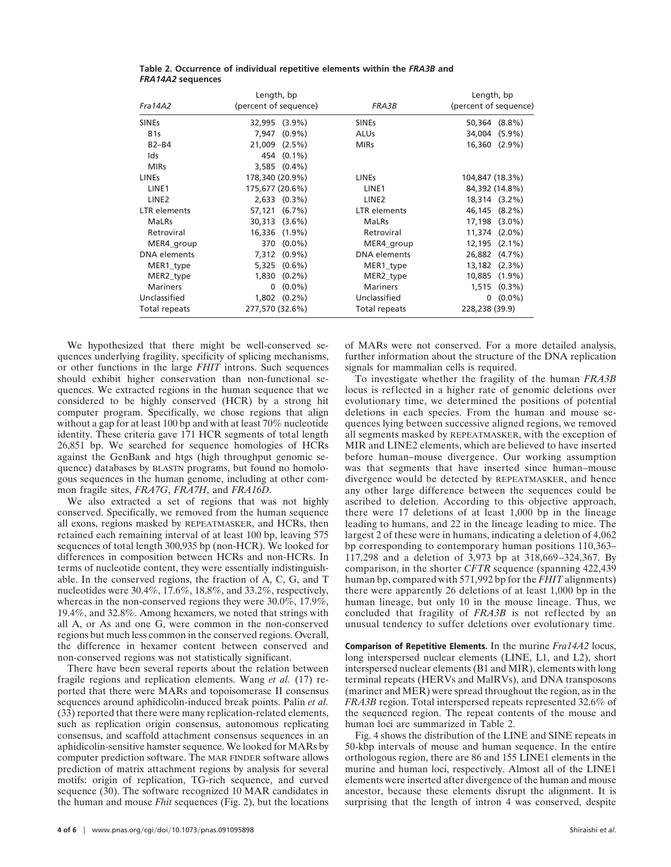| Length, bp          |                       |                     | Length, bp            |
|---------------------|-----------------------|---------------------|-----------------------|
| Fra14A2             | (percent of sequence) | FRA3B               | (percent of sequence) |
| <b>SINEs</b>        | 32,995 (3.9%)         | <b>SINEs</b>        | $(8.8\%)$<br>50,364   |
| B <sub>1s</sub>     | $(0.9\%)$<br>7.947    | <b>ALUs</b>         | $(5.9\%)$<br>34,004   |
| $B2-B4$             | 21,009 (2.5%)         | <b>MIRs</b>         | $(2.9\%)$<br>16,360   |
| Ids                 | 454 (0.1%)            |                     |                       |
| <b>MIRs</b>         | $3.585$ $(0.4\%)$     |                     |                       |
| <b>LINEs</b>        | 178,340 (20.9%)       | <b>LINEs</b>        | 104,847 (18.3%)       |
| LINE <sub>1</sub>   | 175,677 (20.6%)       | LINE <sub>1</sub>   | 84,392 (14.8%)        |
| LINE <sub>2</sub>   | $2,633$ $(0.3\%)$     | LINE <sub>2</sub>   | 18,314 (3.2%)         |
| <b>LTR</b> elements | 57,121 (6.7%)         | <b>LTR</b> elements | 46,145<br>$(8.2\%)$   |
| <b>MaLRs</b>        | 30,313 (3.6%)         | <b>MaLRs</b>        | 17,198<br>$(3.0\%)$   |
| Retroviral          | 16,336 (1.9%)         | Retroviral          | $(2.0\%)$<br>11,374   |
| MER4_group          | 370 (0.0%)            | MER4_group          | 12,195<br>$(2.1\%)$   |
| <b>DNA</b> elements | 7,312 (0.9%)          | <b>DNA</b> elements | 26,882 (4.7%)         |
| MER1_type           | 5,325 (0.6%)          | MER1_type           | $(2.3\%)$<br>13,182   |
| MER2_type           | $1,830(0.2\%)$        | MER2_type           | $(1.9\%)$<br>10,885   |
| <b>Mariners</b>     | $(0.0\%)$<br>0        | <b>Mariners</b>     | $(0.3\%)$<br>1,515    |
| Unclassified        | $1,802$ $(0.2\%)$     | Unclassified        | $(0.0\%)$<br>0        |
| Total repeats       | 277,570 (32.6%)       | Total repeats       | 228,238 (39.9)        |

**Table 2. Occurrence of individual repetitive elements within the** *FRA3B* **and** *FRA14A2* **sequences**

We hypothesized that there might be well-conserved sequences underlying fragility, specificity of splicing mechanisms, or other functions in the large *FHIT* introns. Such sequences should exhibit higher conservation than non-functional sequences. We extracted regions in the human sequence that we considered to be highly conserved (HCR) by a strong hit computer program. Specifically, we chose regions that align without a gap for at least 100 bp and with at least 70% nucleotide identity. These criteria gave 171 HCR segments of total length 26,851 bp. We searched for sequence homologies of HCRs against the GenBank and htgs (high throughput genomic sequence) databases by BLASTN programs, but found no homologous sequences in the human genome, including at other common fragile sites, *FRA7G*, *FRA7H*, and *FRA16D*.

We also extracted a set of regions that was not highly conserved. Specifically, we removed from the human sequence all exons, regions masked by REPEATMASKER, and HCRs, then retained each remaining interval of at least 100 bp, leaving 575 sequences of total length 300,935 bp (non-HCR). We looked for differences in composition between HCRs and non-HCRs. In terms of nucleotide content, they were essentially indistinguishable. In the conserved regions, the fraction of A, C, G, and T nucleotides were 30.4%, 17.6%, 18.8%, and 33.2%, respectively, whereas in the non-conserved regions they were 30.0%, 17.9%, 19.4%, and 32.8%. Among hexamers, we noted that strings with all A, or As and one G, were common in the non-conserved regions but much less common in the conserved regions. Overall, the difference in hexamer content between conserved and non-conserved regions was not statistically significant.

There have been several reports about the relation between fragile regions and replication elements. Wang *et al.* (17) reported that there were MARs and topoisomerase II consensus sequences around aphidicolin-induced break points. Palin *et al.* (33) reported that there were many replication-related elements, such as replication origin consensus, autonomous replicating consensus, and scaffold attachment consensus sequences in an aphidicolin-sensitive hamster sequence. We looked for MARs by computer prediction software. The MAR FINDER software allows prediction of matrix attachment regions by analysis for several motifs: origin of replication, TG-rich sequence, and curved sequence (30). The software recognized 10 MAR candidates in the human and mouse *Fhit* sequences (Fig. 2), but the locations

of MARs were not conserved. For a more detailed analysis, further information about the structure of the DNA replication signals for mammalian cells is required.

To investigate whether the fragility of the human *FRA3B* locus is reflected in a higher rate of genomic deletions over evolutionary time, we determined the positions of potential deletions in each species. From the human and mouse sequences lying between successive aligned regions, we removed all segments masked by REPEATMASKER, with the exception of MIR and LINE2 elements, which are believed to have inserted before human–mouse divergence. Our working assumption was that segments that have inserted since human–mouse divergence would be detected by REPEATMASKER, and hence any other large difference between the sequences could be ascribed to deletion. According to this objective approach, there were 17 deletions of at least 1,000 bp in the lineage leading to humans, and 22 in the lineage leading to mice. The largest 2 of these were in humans, indicating a deletion of 4,062 bp corresponding to contemporary human positions 110,363– 117,298 and a deletion of 3,973 bp at 318,669–324,367. By comparison, in the shorter *CFTR* sequence (spanning 422,439 human bp, compared with 571,992 bp for the *FHIT* alignments) there were apparently 26 deletions of at least 1,000 bp in the human lineage, but only 10 in the mouse lineage. Thus, we concluded that fragility of *FRA3B* is not reflected by an unusual tendency to suffer deletions over evolutionary time.

**Comparison of Repetitive Elements.** In the murine *Fra14A2* locus, long interspersed nuclear elements (LINE, L1, and L2), short interspersed nuclear elements (B1 and MIR), elements with long terminal repeats (HERVs and MalRVs), and DNA transposons (mariner and MER) were spread throughout the region, as in the *FRA3B* region. Total interspersed repeats represented 32.6% of the sequenced region. The repeat contents of the mouse and human loci are summarized in Table 2.

Fig. 4 shows the distribution of the LINE and SINE repeats in 50-kbp intervals of mouse and human sequence. In the entire orthologous region, there are 86 and 155 LINE1 elements in the murine and human loci, respectively. Almost all of the LINE1 elements were inserted after divergence of the human and mouse ancestor, because these elements disrupt the alignment. It is surprising that the length of intron 4 was conserved, despite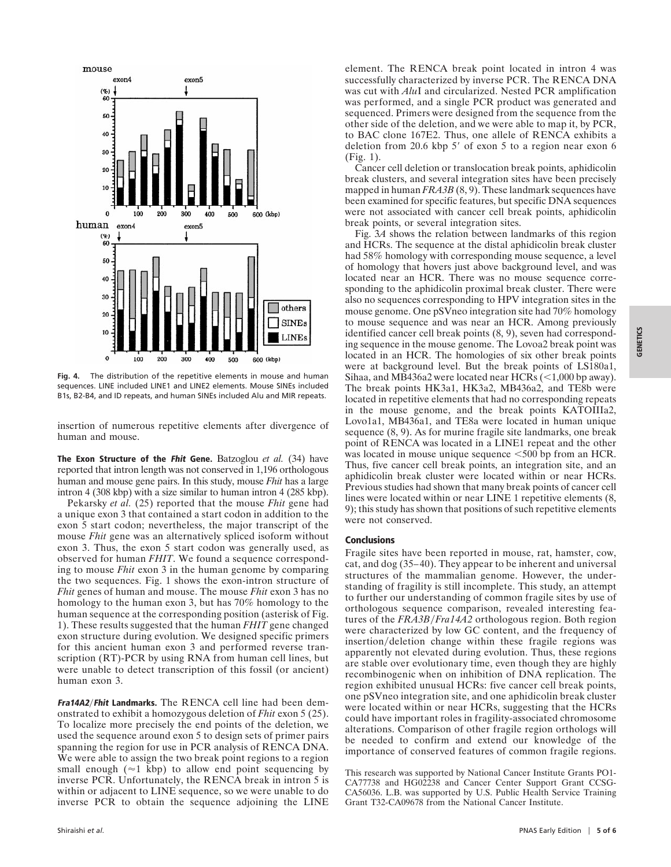

**Fig. 4.** The distribution of the repetitive elements in mouse and human sequences. LINE included LINE1 and LINE2 elements. Mouse SINEs included B1s, B2-B4, and ID repeats, and human SINEs included Alu and MIR repeats.

insertion of numerous repetitive elements after divergence of human and mouse.

**The Exon Structure of the Fhit Gene.** Batzoglou *et al.* (34) have reported that intron length was not conserved in 1,196 orthologous human and mouse gene pairs. In this study, mouse *Fhit* has a large intron 4 (308 kbp) with a size similar to human intron 4 (285 kbp).

Pekarsky *et al.* (25) reported that the mouse *Fhit* gene had a unique exon 3 that contained a start codon in addition to the exon 5 start codon; nevertheless, the major transcript of the mouse *Fhit* gene was an alternatively spliced isoform without exon 3. Thus, the exon 5 start codon was generally used, as observed for human *FHIT*. We found a sequence corresponding to mouse *Fhit* exon 3 in the human genome by comparing the two sequences. Fig. 1 shows the exon-intron structure of *Fhit* genes of human and mouse. The mouse *Fhit* exon 3 has no homology to the human exon 3, but has 70% homology to the human sequence at the corresponding position (asterisk of Fig. 1). These results suggested that the human *FHIT* gene changed exon structure during evolution. We designed specific primers for this ancient human exon 3 and performed reverse transcription (RT)-PCR by using RNA from human cell lines, but were unable to detect transcription of this fossil (or ancient) human exon 3.

**Fra14A2**y**Fhit Landmarks.** The RENCA cell line had been demonstrated to exhibit a homozygous deletion of *Fhit* exon 5 (25). To localize more precisely the end points of the deletion, we used the sequence around exon 5 to design sets of primer pairs spanning the region for use in PCR analysis of RENCA DNA. We were able to assign the two break point regions to a region small enough ( $\approx$ 1 kbp) to allow end point sequencing by inverse PCR. Unfortunately, the RENCA break in intron 5 is within or adjacent to LINE sequence, so we were unable to do inverse PCR to obtain the sequence adjoining the LINE element. The RENCA break point located in intron 4 was successfully characterized by inverse PCR. The RENCA DNA was cut with *Alu*I and circularized. Nested PCR amplification was performed, and a single PCR product was generated and sequenced. Primers were designed from the sequence from the other side of the deletion, and we were able to map it, by PCR, to BAC clone 167E2. Thus, one allele of RENCA exhibits a deletion from 20.6 kbp  $5'$  of exon  $5$  to a region near exon  $6$ (Fig. 1).

Cancer cell deletion or translocation break points, aphidicolin break clusters, and several integration sites have been precisely mapped in human *FRA3B* (8, 9). These landmark sequences have been examined for specific features, but specific DNA sequences were not associated with cancer cell break points, aphidicolin break points, or several integration sites.

Fig. 3*A* shows the relation between landmarks of this region and HCRs. The sequence at the distal aphidicolin break cluster had 58% homology with corresponding mouse sequence, a level of homology that hovers just above background level, and was located near an HCR. There was no mouse sequence corresponding to the aphidicolin proximal break cluster. There were also no sequences corresponding to HPV integration sites in the mouse genome. One pSVneo integration site had 70% homology to mouse sequence and was near an HCR. Among previously identified cancer cell break points (8, 9), seven had corresponding sequence in the mouse genome. The Lovoa2 break point was located in an HCR. The homologies of six other break points were at background level. But the break points of LS180a1, Sihaa, and MB436a2 were located near HCRs  $\left($  < 1,000 bp away). The break points HK3a1, HK3a2, MB436a2, and TE8b were located in repetitive elements that had no corresponding repeats in the mouse genome, and the break points KATOIIIa2, Lovo1a1, MB436a1, and TE8a were located in human unique sequence (8, 9). As for murine fragile site landmarks, one break point of RENCA was located in a LINE1 repeat and the other was located in mouse unique sequence  $\leq 500$  bp from an HCR. Thus, five cancer cell break points, an integration site, and an aphidicolin break cluster were located within or near HCRs. Previous studies had shown that many break points of cancer cell lines were located within or near LINE 1 repetitive elements (8, 9); this study has shown that positions of such repetitive elements were not conserved.

## **Conclusions**

Fragile sites have been reported in mouse, rat, hamster, cow, cat, and dog (35–40). They appear to be inherent and universal structures of the mammalian genome. However, the understanding of fragility is still incomplete. This study, an attempt to further our understanding of common fragile sites by use of orthologous sequence comparison, revealed interesting features of the FRA3B/Fra14A2 orthologous region. Both region were characterized by low GC content, and the frequency of insertion/deletion change within these fragile regions was apparently not elevated during evolution. Thus, these regions are stable over evolutionary time, even though they are highly recombinogenic when on inhibition of DNA replication. The region exhibited unusual HCRs: five cancer cell break points, one pSVneo integration site, and one aphidicolin break cluster were located within or near HCRs, suggesting that the HCRs could have important roles in fragility-associated chromosome alterations. Comparison of other fragile region orthologs will be needed to confirm and extend our knowledge of the importance of conserved features of common fragile regions.

This research was supported by National Cancer Institute Grants PO1- CA77738 and HG02238 and Cancer Center Support Grant CCSG-CA56036. L.B. was supported by U.S. Public Health Service Training Grant T32-CA09678 from the National Cancer Institute.